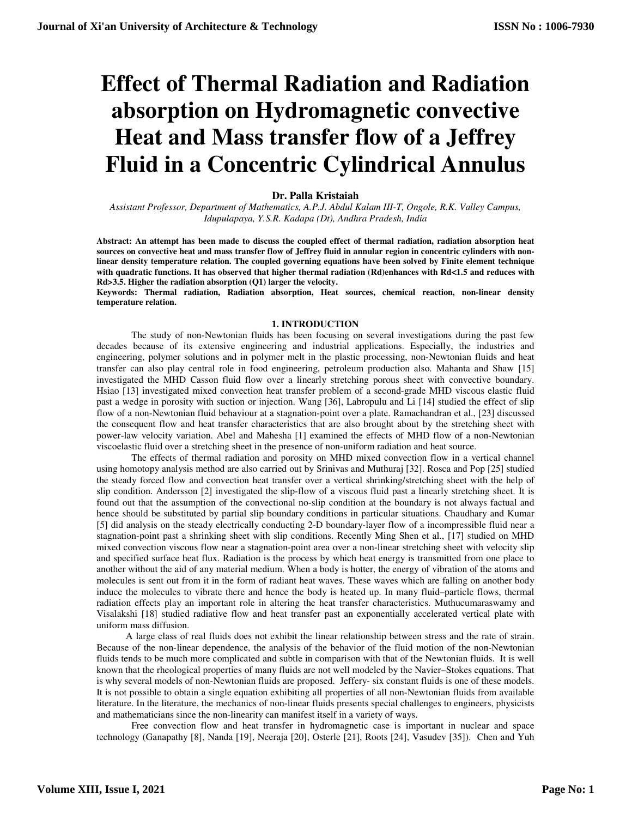# **Effect of Thermal Radiation and Radiation absorption on Hydromagnetic convective Heat and Mass transfer flow of a Jeffrey Fluid in a Concentric Cylindrical Annulus**

## **Dr. Palla Kristaiah**

*Assistant Professor, Department of Mathematics, A.P.J. Abdul Kalam III-T, Ongole, R.K. Valley Campus, Idupulapaya, Y.S.R. Kadapa (Dt), Andhra Pradesh, India* 

**Abstract: An attempt has been made to discuss the coupled effect of thermal radiation, radiation absorption heat sources on convective heat and mass transfer flow of Jeffrey fluid in annular region in concentric cylinders with nonlinear density temperature relation. The coupled governing equations have been solved by Finite element technique with quadratic functions. It has observed that higher thermal radiation (Rd)enhances with Rd**<**1.5 and reduces with Rd>3.5. Higher the radiation absorption (Q1) larger the velocity.** 

**Keywords: Thermal radiation, Radiation absorption, Heat sources, chemical reaction, non-linear density temperature relation.** 

## **1. INTRODUCTION**

The study of non-Newtonian fluids has been focusing on several investigations during the past few decades because of its extensive engineering and industrial applications. Especially, the industries and engineering, polymer solutions and in polymer melt in the plastic processing, non-Newtonian fluids and heat transfer can also play central role in food engineering, petroleum production also. Mahanta and Shaw [15] investigated the MHD Casson fluid flow over a linearly stretching porous sheet with convective boundary. Hsiao [13] investigated mixed convection heat transfer problem of a second-grade MHD viscous elastic fluid past a wedge in porosity with suction or injection. Wang [36], Labropulu and Li [14] studied the effect of slip flow of a non-Newtonian fluid behaviour at a stagnation-point over a plate. Ramachandran et al., [23] discussed the consequent flow and heat transfer characteristics that are also brought about by the stretching sheet with power-law velocity variation. Abel and Mahesha [1] examined the effects of MHD flow of a non-Newtonian viscoelastic fluid over a stretching sheet in the presence of non-uniform radiation and heat source.

The effects of thermal radiation and porosity on MHD mixed convection flow in a vertical channel using homotopy analysis method are also carried out by Srinivas and Muthuraj [32]. Rosca and Pop [25] studied the steady forced flow and convection heat transfer over a vertical shrinking/stretching sheet with the help of slip condition. Andersson [2] investigated the slip-flow of a viscous fluid past a linearly stretching sheet. It is found out that the assumption of the convectional no-slip condition at the boundary is not always factual and hence should be substituted by partial slip boundary conditions in particular situations. Chaudhary and Kumar [5] did analysis on the steady electrically conducting 2-D boundary-layer flow of a incompressible fluid near a stagnation-point past a shrinking sheet with slip conditions. Recently Ming Shen et al., [17] studied on MHD mixed convection viscous flow near a stagnation-point area over a non-linear stretching sheet with velocity slip and specified surface heat flux. Radiation is the process by which heat energy is transmitted from one place to another without the aid of any material medium. When a body is hotter, the energy of vibration of the atoms and molecules is sent out from it in the form of radiant heat waves. These waves which are falling on another body induce the molecules to vibrate there and hence the body is heated up. In many fluid–particle flows, thermal radiation effects play an important role in altering the heat transfer characteristics. Muthucumaraswamy and Visalakshi [18] studied radiative flow and heat transfer past an exponentially accelerated vertical plate with uniform mass diffusion.

 A large class of real fluids does not exhibit the linear relationship between stress and the rate of strain. Because of the non-linear dependence, the analysis of the behavior of the fluid motion of the non-Newtonian fluids tends to be much more complicated and subtle in comparison with that of the Newtonian fluids. It is well known that the rheological properties of many fluids are not well modeled by the Navier–Stokes equations. That is why several models of non-Newtonian fluids are proposed. Jeffery- six constant fluids is one of these models. It is not possible to obtain a single equation exhibiting all properties of all non-Newtonian fluids from available literature. In the literature, the mechanics of non-linear fluids presents special challenges to engineers, physicists and mathematicians since the non-linearity can manifest itself in a variety of ways.

Free convection flow and heat transfer in hydromagnetic case is important in nuclear and space technology (Ganapathy [8], Nanda [19], Neeraja [20], Osterle [21], Roots [24], Vasudev [35]). Chen and Yuh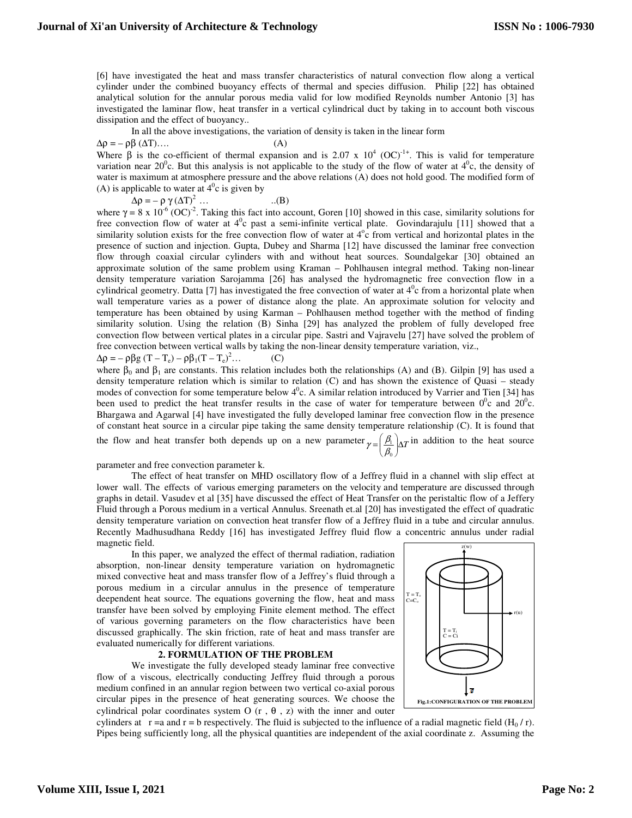[6] have investigated the heat and mass transfer characteristics of natural convection flow along a vertical cylinder under the combined buoyancy effects of thermal and species diffusion. Philip [22] has obtained analytical solution for the annular porous media valid for low modified Reynolds number Antonio [3] has investigated the laminar flow, heat transfer in a vertical cylindrical duct by taking in to account both viscous dissipation and the effect of buoyancy..

In all the above investigations, the variation of density is taken in the linear form

 $\Delta \rho = - \rho \beta (\Delta T) \dots$  (A)

Where  $\beta$  is the co-efficient of thermal expansion and is 2.07 x 10<sup>4</sup> (OC)<sup>-1+</sup>. This is valid for temperature variation near  $20^0$ c. But this analysis is not applicable to the study of the flow of water at  $4^0$ c, the density of water is maximum at atmosphere pressure and the above relations (A) does not hold good. The modified form of (A) is applicable to water at  $4^{\circ}$ c is given by

 $\Delta \rho = - \rho \gamma (\Delta T)^2$  ... (B)

where  $\gamma = 8 \times 10^{-6} (OC)^2$ . Taking this fact into account, Goren [10] showed in this case, similarity solutions for free convection flow of water at  $4^0c$  past a semi-infinite vertical plate. Govindarajulu [11] showed that a similarity solution exists for the free convection flow of water at  $4^\circ$ c from vertical and horizontal plates in the presence of suction and injection. Gupta, Dubey and Sharma [12] have discussed the laminar free convection flow through coaxial circular cylinders with and without heat sources. Soundalgekar [30] obtained an approximate solution of the same problem using Kraman – Pohlhausen integral method. Taking non-linear density temperature variation Sarojamma [26] has analysed the hydromagnetic free convection flow in a cylindrical geometry. Datta [7] has investigated the free convection of water at  $4^0c$  from a horizontal plate when wall temperature varies as a power of distance along the plate. An approximate solution for velocity and temperature has been obtained by using Karman – Pohlhausen method together with the method of finding similarity solution. Using the relation (B) Sinha [29] has analyzed the problem of fully developed free convection flow between vertical plates in a circular pipe. Sastri and Vajravelu [27] have solved the problem of free convection between vertical walls by taking the non-linear density temperature variation, viz.,

 $\Delta \rho = -\rho \beta g (T - T_e) - \rho \beta_1 (T - T_e)^2 \dots$ 

where  $\beta_0$  and  $\beta_1$  are constants. This relation includes both the relationships (A) and (B). Gilpin [9] has used a density temperature relation which is similar to relation (C) and has shown the existence of Quasi – steady modes of convection for some temperature below  $4^0$ c. A similar relation introduced by Varrier and Tien [34] has been used to predict the heat transfer results in the case of water for temperature between  $0^0c$  and  $20^0c$ . Bhargawa and Agarwal [4] have investigated the fully developed laminar free convection flow in the presence of constant heat source in a circular pipe taking the same density temperature relationship (C). It is found that the flow and heat transfer both depends up on a new parameter  $\gamma = \left(\frac{\beta_1}{\beta}\right) \Delta T$ J ∖ I l  $=\left(\frac{\beta_1}{\beta_0}\right)$  $\gamma = \left(\frac{\beta_1}{2}\right) \Delta T$  in addition to the heat source

0

 $(C)$ 

parameter and free convection parameter k.

 The effect of heat transfer on MHD oscillatory flow of a Jeffrey fluid in a channel with slip effect at lower wall. The effects of various emerging parameters on the velocity and temperature are discussed through graphs in detail. Vasudev et al [35] have discussed the effect of Heat Transfer on the peristaltic flow of a Jeffery Fluid through a Porous medium in a vertical Annulus. Sreenath et.al [20] has investigated the effect of quadratic density temperature variation on convection heat transfer flow of a Jeffrey fluid in a tube and circular annulus. Recently Madhusudhana Reddy [16] has investigated Jeffrey fluid flow a concentric annulus under radial magnetic field.

In this paper, we analyzed the effect of thermal radiation, radiation absorption, non-linear density temperature variation on hydromagnetic mixed convective heat and mass transfer flow of a Jeffrey's fluid through a porous medium in a circular annulus in the presence of temperature deependent heat source. The equations governing the flow, heat and mass  $\int_{c=c_0}^{c}$ transfer have been solved by employing Finite element method. The effect of various governing parameters on the flow characteristics have been discussed graphically. The skin friction, rate of heat and mass transfer are evaluated numerically for different variations.

#### **2. FORMULATION OF THE PROBLEM**

We investigate the fully developed steady laminar free convective flow of a viscous, electrically conducting Jeffrey fluid through a porous medium confined in an annular region between two vertical co-axial porous circular pipes in the presence of heat generating sources. We choose the cylindrical polar coordinates system O  $(r, \theta, z)$  with the inner and outer

 z(w)  $=T<sub>o</sub>$ r(u)  $T = T_i$  $C = Ci$  $\overline{a}$ **Fig.1:CONFIGURATION OF THE PROBLEM**

cylinders at  $r = a$  and  $r = b$  respectively. The fluid is subjected to the influence of a radial magnetic field  $(H_0 / r)$ . Pipes being sufficiently long, all the physical quantities are independent of the axial coordinate z. Assuming the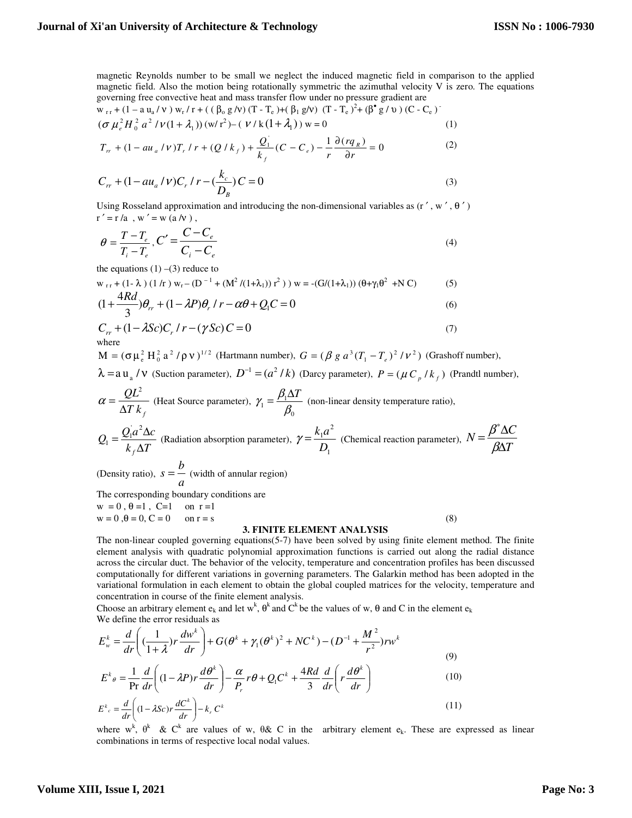magnetic Reynolds number to be small we neglect the induced magnetic field in comparison to the applied magnetic field. Also the motion being rotationally symmetric the azimuthal velocity V is zero. The equations governing free convective heat and mass transfer flow under no pressure gradient are

$$
w_{rr} + (1 - a u_a / v) w_r / r + ((\beta_0 g / v) (T - T_e) + (\beta_1 g / v) (T - T_e)^2 + (\beta^{\bullet} g / v) (C - C_e)
$$
  

$$
(\sigma \mu_e^2 H_0^2 a^2 / \nu (1 + \lambda_1)) (w/r^2) - (\nu / k (1 + \lambda_1)) w = 0
$$
 (1)

$$
T_{rr} + (1 - au_a / \nu)T_r / r + (Q/k_f) + \frac{Q_1}{k_f}(C - C_e) - \frac{1}{r} \frac{\partial (rq_R)}{\partial r} = 0
$$
 (2)

$$
C_{rr} + (1 - au_a / \nu)C_r / r - (\frac{k_c}{D_B})C = 0
$$
\n(3)

Using Rosseland approximation and introducing the non-dimensional variables as  $(r', w', \theta')$  $r' = r/a$ , w' = w (a /v),

$$
\theta = \frac{T - T_e}{T_i - T_e}, C' = \frac{C - C_e}{C_i - C_e}
$$
\n(4)

the equations  $(1)$  –(3) reduce to

$$
w_{rr} + (1 - \lambda) (1/r) w_r - (D^{-1} + (M^2 / (1 + \lambda_1)) r^2) w = -(G/(1 + \lambda_1)) (\theta + \gamma_1 \theta^2 + NC)
$$
 (5)

$$
(1 + \frac{4Rd}{3})\theta_r + (1 - \lambda P)\theta_r / r - \alpha\theta + Q_1 C = 0
$$
\n<sup>(6)</sup>

$$
C_{rr} + (1 - \lambda Sc)C_r / r - (\gamma Sc) C = 0
$$
  
where (7)

 $M = (\sigma \mu_e^2 H_0^2 a^2 / \rho v)^{1/2}$  (Hartmann number),  $G = (\beta g a^3 (T_1 - T_e)^2 / v^2)$  (Grashoff number),

 $\lambda =$ a u<sub>a</sub> / v (Suction parameter),  $D^{-1} = (a^2 / k)$  (Darcy parameter),  $P = (\mu C_p / k_f)$  (Prandtl number),

$$
\alpha = \frac{QL^2}{\Delta T k_f}
$$
 (Heat Source parameter),  $\gamma_1 = \frac{\beta_1 \Delta T}{\beta_0}$  (non-linear density temperature ratio),  

$$
Q_1 = \frac{Q_1 a^2 \Delta c}{k_f \Delta T}
$$
 (Radiation absorption parameter),  $\gamma = \frac{k_1 a^2}{D_1}$  (Chemical reaction parameter),  $N = \frac{\beta^* \Delta C}{\beta \Delta T}$ 

(Density ratio),  $s = -a$  $s = \frac{b}{b}$  (width of annular region)

The corresponding boundary conditions are

 $w = 0, \theta = 1, C=1$  on  $r = 1$  $w = 0, \theta = 0, C = 0$  on  $r = s$  (8)

## **3. FINITE ELEMENT ANALYSIS**

The non-linear coupled governing equations(5-7) have been solved by using finite element method. The finite element analysis with quadratic polynomial approximation functions is carried out along the radial distance across the circular duct. The behavior of the velocity, temperature and concentration profiles has been discussed computationally for different variations in governing parameters. The Galarkin method has been adopted in the variational formulation in each element to obtain the global coupled matrices for the velocity, temperature and concentration in course of the finite element analysis.

Choose an arbitrary element  $e_k$  and let w<sup>k</sup>,  $\theta^k$  and C<sup>k</sup> be the values of w,  $\theta$  and C in the element  $e_k$ We define the error residuals as

$$
E_w^k = \frac{d}{dr} \left( \left( \frac{1}{1+\lambda} \right) r \frac{dw^k}{dr} \right) + G(\theta^k + \gamma_1 (\theta^k)^2 + NC^k) - (D^{-1} + \frac{M^2}{r^2}) rw^k
$$
  
(9)  

$$
E_{\phi}^k = \frac{1}{r^2} \frac{d}{dr} \left( \frac{1}{r^2} \frac{d}{dr} \right) \frac{d}{dr} \frac{d}{dr} \frac{d}{dr} \frac{d}{dr} \frac{d}{dr} \left( \frac{d}{dr} \frac{d}{dr} \right)
$$

$$
E^k \theta = \frac{1}{\Pr} \frac{d}{dr} \left( (1 - \lambda P) r \frac{d\theta}{dr} \right) - \frac{a}{P_r} r \theta + Q_1 C^k + \frac{4\pi d}{3} \frac{d}{dr} \left( r \frac{d\theta}{dr} \right)
$$
(10)

$$
E^k{}_c = \frac{d}{dr} \left( (1 - \lambda Sc) r \frac{dC^k}{dr} \right) - k_r C^k
$$
\n(11)

where w<sup>k</sup>,  $\theta^k$  & C<sup>k</sup> are values of w,  $\theta$ & C in the arbitrary element  $e_k$ . These are expressed as linear combinations in terms of respective local nodal values.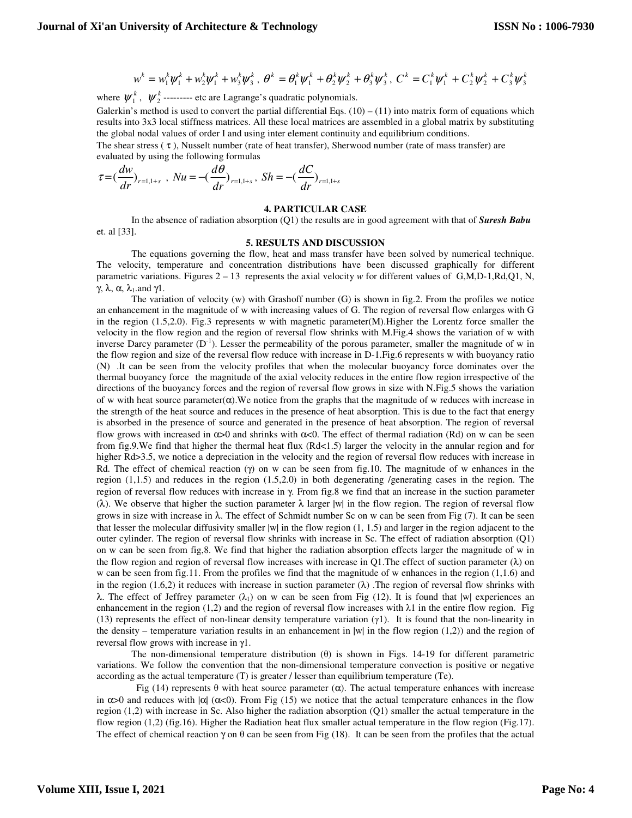$$
w^{k} = w_{1}^{k} \psi_{1}^{k} + w_{2}^{k} \psi_{1}^{k} + w_{3}^{k} \psi_{3}^{k}, \quad \theta^{k} = \theta_{1}^{k} \psi_{1}^{k} + \theta_{2}^{k} \psi_{2}^{k} + \theta_{3}^{k} \psi_{3}^{k}, \quad C^{k} = C_{1}^{k} \psi_{1}^{k} + C_{2}^{k} \psi_{2}^{k} + C_{3}^{k} \psi_{3}^{k}
$$

where  $\psi_1^k$ ,  $\psi_2^k$ --------- etc are Lagrange's quadratic polynomials.

Galerkin's method is used to convert the partial differential Eqs.  $(10) - (11)$  into matrix form of equations which results into 3x3 local stiffness matrices. All these local matrices are assembled in a global matrix by substituting the global nodal values of order I and using inter element continuity and equilibrium conditions.

The shear stress ( τ ), Nusselt number (rate of heat transfer), Sherwood number (rate of mass transfer) are evaluated by using the following formulas

$$
\tau = \left(\frac{dw}{dr}\right)_{r=1,1+s}, \quad Nu = -\left(\frac{d\theta}{dr}\right)_{r=1,1+s}, \quad Sh = -\left(\frac{dC}{dr}\right)_{r=1,1+s}
$$

#### **4. PARTICULAR CASE**

In the absence of radiation absorption (Q1) the results are in good agreement with that of *Suresh Babu* et. al [33].

#### **5. RESULTS AND DISCUSSION**

The equations governing the flow, heat and mass transfer have been solved by numerical technique. The velocity, temperature and concentration distributions have been discussed graphically for different parametric variations. Figures 2 – 13 represents the axial velocity *w* for different values of G,M,D-1,Rd,Q1, N, γ, λ, α,  $\lambda_1$ . and γ1.

The variation of velocity (w) with Grashoff number (G) is shown in fig.2. From the profiles we notice an enhancement in the magnitude of w with increasing values of G. The region of reversal flow enlarges with G in the region  $(1.5,2.0)$ . Fig.3 represents w with magnetic parameter(M). Higher the Lorentz force smaller the velocity in the flow region and the region of reversal flow shrinks with M.Fig.4 shows the variation of w with inverse Darcy parameter  $(D^{-1})$ . Lesser the permeability of the porous parameter, smaller the magnitude of w in the flow region and size of the reversal flow reduce with increase in D-1.Fig.6 represents w with buoyancy ratio (N) .It can be seen from the velocity profiles that when the molecular buoyancy force dominates over the thermal buoyancy force the magnitude of the axial velocity reduces in the entire flow region irrespective of the directions of the buoyancy forces and the region of reversal flow grows in size with N.Fig.5 shows the variation of w with heat source parameter $(\alpha)$ . We notice from the graphs that the magnitude of w reduces with increase in the strength of the heat source and reduces in the presence of heat absorption. This is due to the fact that energy is absorbed in the presence of source and generated in the presence of heat absorption. The region of reversal flow grows with increased in  $\alpha > 0$  and shrinks with  $\alpha < 0$ . The effect of thermal radiation (Rd) on w can be seen from fig.9.We find that higher the thermal heat flux (Rd<1.5) larger the velocity in the annular region and for higher Rd>3.5, we notice a depreciation in the velocity and the region of reversal flow reduces with increase in Rd. The effect of chemical reaction (γ) on w can be seen from fig.10. The magnitude of w enhances in the region (1,1.5) and reduces in the region (1.5,2.0) in both degenerating /generating cases in the region. The region of reversal flow reduces with increase in γ. From fig.8 we find that an increase in the suction parameter ( $\lambda$ ). We observe that higher the suction parameter  $\lambda$  larger |w| in the flow region. The region of reversal flow grows in size with increase in  $\lambda$ . The effect of Schmidt number Sc on w can be seen from Fig (7). It can be seen that lesser the molecular diffusivity smaller  $|w|$  in the flow region  $(1, 1.5)$  and larger in the region adjacent to the outer cylinder. The region of reversal flow shrinks with increase in Sc. The effect of radiation absorption (Q1) on w can be seen from fig,8. We find that higher the radiation absorption effects larger the magnitude of w in the flow region and region of reversal flow increases with increase in Q1. The effect of suction parameter  $(\lambda)$  on w can be seen from fig.11. From the profiles we find that the magnitude of w enhances in the region (1,1.6) and in the region (1.6,2) it reduces with increase in suction parameter  $(\lambda)$ . The region of reversal flow shrinks with λ. The effect of Jeffrey parameter (λ<sub>1</sub>) on w can be seen from Fig (12). It is found that  $|w|$  experiences an enhancement in the region (1,2) and the region of reversal flow increases with  $\lambda$ 1 in the entire flow region. Fig (13) represents the effect of non-linear density temperature variation ( $\gamma$ 1). It is found that the non-linearity in the density – temperature variation results in an enhancement in  $|w|$  in the flow region (1,2)) and the region of reversal flow grows with increase in γ1.

The non-dimensional temperature distribution  $(\theta)$  is shown in Figs. 14-19 for different parametric variations. We follow the convention that the non-dimensional temperature convection is positive or negative according as the actual temperature (T) is greater / lesser than equilibrium temperature (Te).

Fig (14) represents θ with heat source parameter ( $α$ ). The actual temperature enhances with increase in  $\alpha$  and reduces with  $|\alpha|$  ( $\alpha$ <0). From Fig (15) we notice that the actual temperature enhances in the flow region (1,2) with increase in Sc. Also higher the radiation absorption (Q1) smaller the actual temperature in the flow region (1,2) (fig.16). Higher the Radiation heat flux smaller actual temperature in the flow region (Fig.17). The effect of chemical reaction  $\gamma$  on  $\theta$  can be seen from Fig (18). It can be seen from the profiles that the actual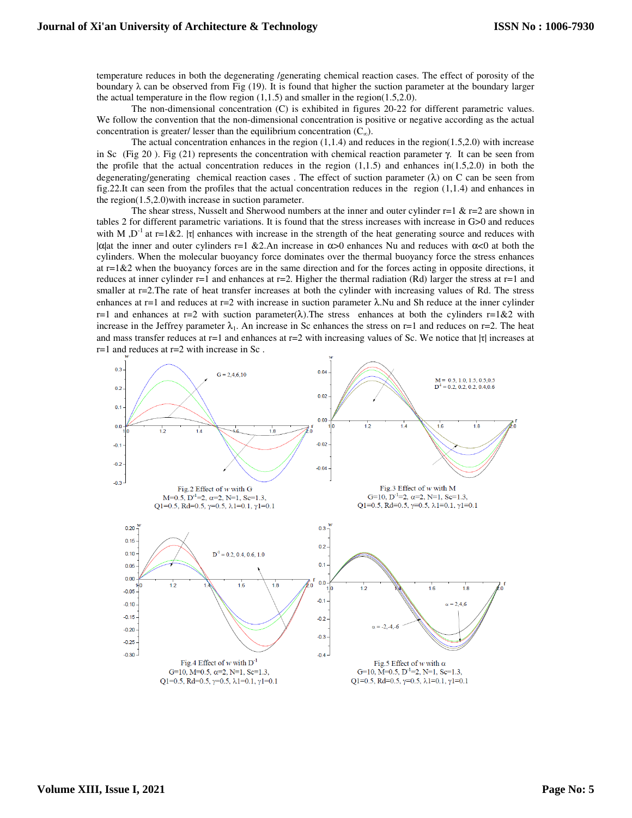temperature reduces in both the degenerating /generating chemical reaction cases. The effect of porosity of the boundary  $\lambda$  can be observed from Fig (19). It is found that higher the suction parameter at the boundary larger the actual temperature in the flow region  $(1,1.5)$  and smaller in the region $(1.5,2.0)$ .

The non-dimensional concentration (C) is exhibited in figures 20-22 for different parametric values. We follow the convention that the non-dimensional concentration is positive or negative according as the actual concentration is greater/ lesser than the equilibrium concentration  $(C_{\infty})$ .

The actual concentration enhances in the region  $(1,1.4)$  and reduces in the region $(1.5,2.0)$  with increase in Sc (Fig 20). Fig (21) represents the concentration with chemical reaction parameter  $\gamma$ . It can be seen from the profile that the actual concentration reduces in the region  $(1,1.5)$  and enhances in $(1.5,2.0)$  in both the degenerating/generating chemical reaction cases. The effect of suction parameter  $(\lambda)$  on C can be seen from fig.22.It can seen from the profiles that the actual concentration reduces in the region (1,1.4) and enhances in the region(1.5,2.0)with increase in suction parameter.

The shear stress, Nusselt and Sherwood numbers at the inner and outer cylinder  $r=1$  &  $r=2$  are shown in tables 2 for different parametric variations. It is found that the stress increases with increase in G>0 and reduces with M,  $D^{-1}$  at r=1&2. |τ| enhances with increase in the strength of the heat generating source and reduces with  $|\alpha|$ at the inner and outer cylinders r=1 &2.An increase in  $\alpha > 0$  enhances Nu and reduces with  $\alpha < 0$  at both the cylinders. When the molecular buoyancy force dominates over the thermal buoyancy force the stress enhances at  $r=1\&2$  when the buoyancy forces are in the same direction and for the forces acting in opposite directions, it reduces at inner cylinder r=1 and enhances at r=2. Higher the thermal radiation (Rd) larger the stress at r=1 and smaller at r=2. The rate of heat transfer increases at both the cylinder with increasing values of Rd. The stress enhances at r=1 and reduces at r=2 with increase in suction parameter  $\lambda$ . Nu and Sh reduce at the inner cylinder r=1 and enhances at r=2 with suction parameter( $\lambda$ ). The stress enhances at both the cylinders r=1&2 with increase in the Jeffrey parameter  $\lambda_1$ . An increase in Sc enhances the stress on r=1 and reduces on r=2. The heat and mass transfer reduces at r=1 and enhances at r=2 with increasing values of Sc. We notice that  $|\tau|$  increases at r=1 and reduces at r=2 with increase in Sc .

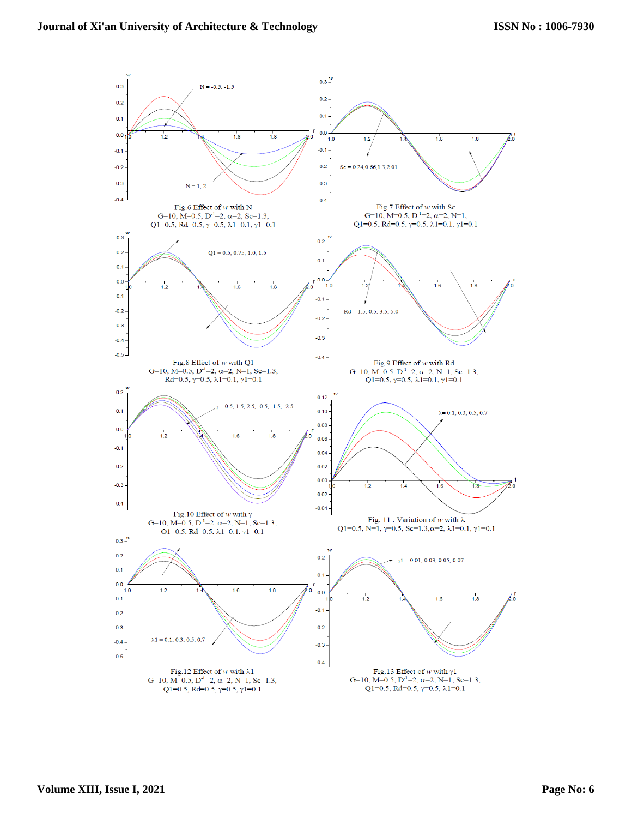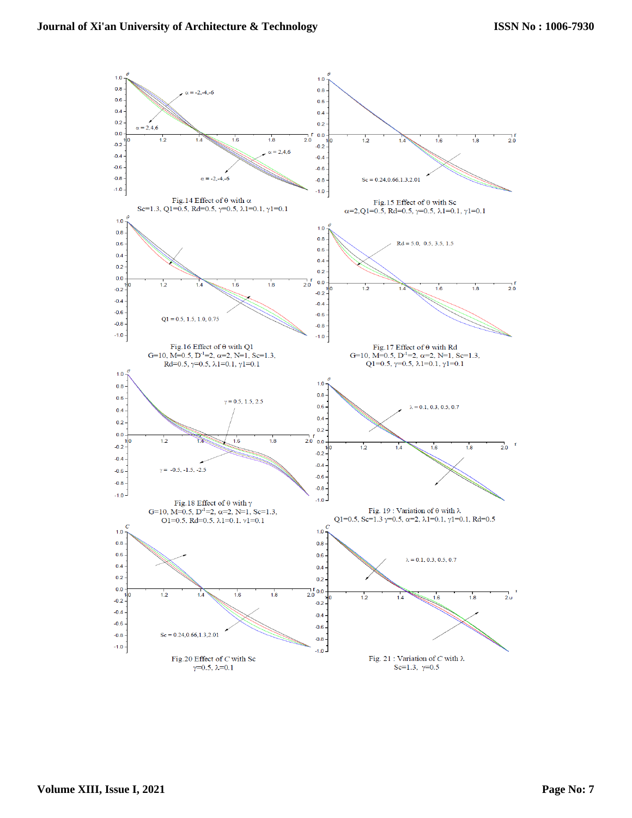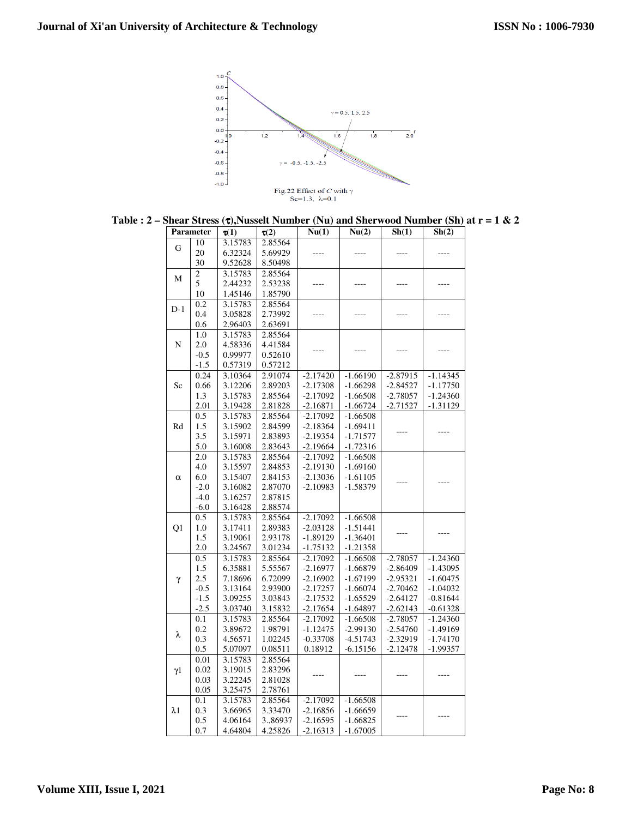

|  |  |  |  | Table : 2 – Shear Stress ( $\tau$ ), Nusselt Number (Nu) and Sherwood Number (Sh) at $r = 1 \& 2$ |  |  |
|--|--|--|--|---------------------------------------------------------------------------------------------------|--|--|
|--|--|--|--|---------------------------------------------------------------------------------------------------|--|--|

| Parameter   |        | $\tau(1)$ | $\tau(2)$ | Nu(1)      | Nu(2)      | Sh(1)      | Sh(2)      |
|-------------|--------|-----------|-----------|------------|------------|------------|------------|
|             | 10     | 3.15783   | 2.85564   |            |            |            |            |
| G           | 20     | 6.32324   | 5.69929   |            |            |            |            |
|             | 30     | 9.52628   | 8.50498   |            |            |            |            |
|             | 2      | 3.15783   | 2.85564   |            |            |            |            |
| M           | 5      | 2.44232   | 2.53238   |            |            |            |            |
|             | 10     | 1.45146   | 1.85790   |            |            |            |            |
|             | 0.2    | 3.15783   | 2.85564   |            |            |            |            |
| $D-1$       | 0.4    | 3.05828   | 2.73992   |            |            |            |            |
|             | 0.6    | 2.96403   | 2.63691   |            |            |            |            |
|             | 1.0    | 3.15783   | 2.85564   |            |            |            |            |
| N           | 2.0    | 4.58336   | 4.41584   |            |            |            |            |
|             | $-0.5$ | 0.99977   | 0.52610   |            |            |            |            |
|             | $-1.5$ | 0.57319   | 0.57212   |            |            |            |            |
|             | 0.24   | 3.10364   | 2.91074   | $-2.17420$ | $-1.66190$ | $-2.87915$ | $-1.14345$ |
| Sc          | 0.66   | 3.12206   | 2.89203   | $-2.17308$ | $-1.66298$ | $-2.84527$ | $-1.17750$ |
|             | 1.3    | 3.15783   | 2.85564   | $-2.17092$ | $-1.66508$ | $-2.78057$ | $-1.24360$ |
|             | 2.01   | 3.19428   | 2.81828   | $-2.16871$ | $-1.66724$ | $-2.71527$ | $-1.31129$ |
|             | 0.5    | 3.15783   | 2.85564   | $-2.17092$ | $-1.66508$ |            |            |
| Rd          | 1.5    | 3.15902   | 2.84599   | $-2.18364$ | $-1.69411$ |            |            |
|             | 3.5    | 3.15971   | 2.83893   | $-2.19354$ | $-1.71577$ |            |            |
|             | 5.0    | 3.16008   | 2.83643   | $-2.19664$ | $-1.72316$ |            |            |
|             | 2.0    | 3.15783   | 2.85564   | $-2.17092$ | $-1.66508$ |            |            |
|             | 4.0    | 3.15597   | 2.84853   | $-2.19130$ | $-1.69160$ |            |            |
| $\alpha$    | 6.0    | 3.15407   | 2.84153   | $-2.13036$ | $-1.61105$ |            |            |
|             | $-2.0$ | 3.16082   | 2.87070   | $-2.10983$ | $-1.58379$ |            |            |
|             | $-4.0$ | 3.16257   | 2.87815   |            |            |            |            |
|             | $-6.0$ | 3.16428   | 2.88574   |            |            |            |            |
|             | 0.5    | 3.15783   | 2.85564   | $-2.17092$ | $-1.66508$ |            |            |
| Q1          | 1.0    | 3.17411   | 2.89383   | $-2.03128$ | $-1.51441$ |            |            |
|             | 1.5    | 3.19061   | 2.93178   | $-1.89129$ | $-1.36401$ |            |            |
|             | 2.0    | 3.24567   | 3.01234   | $-1.75132$ | $-1.21358$ |            |            |
|             | 0.5    | 3.15783   | 2.85564   | $-2.17092$ | $-1.66508$ | $-2.78057$ | $-1.24360$ |
|             | 1.5    | 6.35881   | 5.55567   | $-2.16977$ | $-1.66879$ | $-2.86409$ | $-1.43095$ |
| γ           | 2.5    | 7.18696   | 6.72099   | $-2.16902$ | $-1.67199$ | $-2.95321$ | $-1.60475$ |
|             | $-0.5$ | 3.13164   | 2.93900   | $-2.17257$ | $-1.66074$ | $-2.70462$ | $-1.04032$ |
|             | $-1.5$ | 3.09255   | 3.03843   | $-2.17532$ | $-1.65529$ | $-2.64127$ | $-0.81644$ |
|             | $-2.5$ | 3.03740   | 3.15832   | $-2.17654$ | $-1.64897$ | $-2.62143$ | $-0.61328$ |
|             | 0.1    | 3.15783   | 2.85564   | $-2.17092$ | $-1.66508$ | $-2.78057$ | $-1.24360$ |
| λ           | 0.2    | 3.89672   | 1.98791   | $-1.12475$ | $-2.99130$ | $-2.54760$ | $-1.49169$ |
|             | 0.3    | 4.56571   | 1.02245   | $-0.33708$ | $-4.51743$ | $-2.32919$ | $-1.74170$ |
|             | 0.5    | 5.07097   | 0.08511   | 0.18912    | $-6.15156$ | $-2.12478$ | $-1.99357$ |
|             | 0.01   | 3.15783   | 2.85564   |            |            |            |            |
| $\gamma1$   | 0.02   | 3.19015   | 2.83296   |            |            |            |            |
|             | 0.03   | 3.22245   | 2.81028   |            |            |            |            |
|             | 0.05   | 3.25475   | 2.78761   |            |            |            |            |
|             | 0.1    | 3.15783   | 2.85564   | $-2.17092$ | $-1.66508$ |            |            |
| $\lambda$ 1 | 0.3    | 3.66965   | 3.33470   | $-2.16856$ | $-1.66659$ |            |            |
|             | 0.5    | 4.06164   | 3.,86937  | $-2.16595$ | $-1.66825$ |            |            |
|             | 0.7    | 4.64804   | 4.25826   | $-2.16313$ | $-1.67005$ |            |            |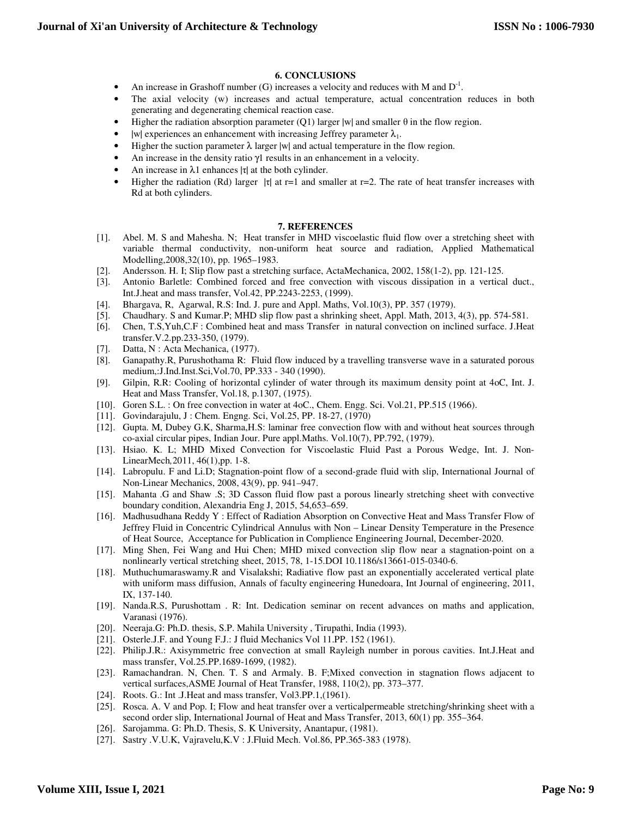## **6. CONCLUSIONS**

- An increase in Grashoff number (G) increases a velocity and reduces with M and  $D^{-1}$ .
- The axial velocity (w) increases and actual temperature, actual concentration reduces in both generating and degenerating chemical reaction case.
- Higher the radiation absorption parameter (Q1) larger |w| and smaller θ in the flow region.
- |w| experiences an enhancement with increasing Jeffrey parameter  $\lambda_1$ .
- Higher the suction parameter  $\lambda$  larger |w| and actual temperature in the flow region.
- An increase in the density ratio γ1 results in an enhancement in a velocity.
- An increase in  $\lambda$ 1 enhances |τ| at the both cylinder.
- Higher the radiation (Rd) larger  $|\tau|$  at r=1 and smaller at r=2. The rate of heat transfer increases with Rd at both cylinders.

#### **7. REFERENCES**

- [1]. Abel. M. S and Mahesha. N; Heat transfer in MHD viscoelastic fluid flow over a stretching sheet with variable thermal conductivity, non-uniform heat source and radiation, Applied Mathematical Modelling,2008,32(10), pp. 1965–1983.
- [2]. Andersson. H. I; Slip flow past a stretching surface, ActaMechanica, 2002, 158(1-2), pp. 121-125.
- [3]. Antonio Barletle: Combined forced and free convection with viscous dissipation in a vertical duct., Int.J.heat and mass transfer, Vol.42, PP.2243-2253, (1999).
- [4]. Bhargava, R, Agarwal, R.S: Ind. J. pure and Appl. Maths, Vol.10(3), PP. 357 (1979).
- [5]. Chaudhary. S and Kumar.P; MHD slip flow past a shrinking sheet, Appl. Math, 2013, 4(3), pp. 574-581.
- [6]. Chen, T.S,Yuh,C.F : Combined heat and mass Transfer in natural convection on inclined surface. J.Heat transfer.V.2.pp.233-350, (1979).
- [7]. Datta, N : Acta Mechanica, (1977).
- [8]. Ganapathy.R, Purushothama R: Fluid flow induced by a travelling transverse wave in a saturated porous medium,:J.Ind.Inst.Sci,Vol.70, PP.333 - 340 (1990).
- [9]. Gilpin, R.R: Cooling of horizontal cylinder of water through its maximum density point at 4oC, Int. J. Heat and Mass Transfer, Vol.18, p.1307, (1975).
- [10]. Goren S.L. : On free convection in water at 4oC., Chem. Engg. Sci. Vol.21, PP.515 (1966).
- [11]. Govindarajulu, J : Chem. Engng. Sci, Vol.25, PP. 18-27, (1970)
- [12]. Gupta. M, Dubey G.K, Sharma,H.S: laminar free convection flow with and without heat sources through co-axial circular pipes, Indian Jour. Pure appl.Maths. Vol.10(7), PP.792, (1979).
- [13]. Hsiao. K. L; MHD Mixed Convection for Viscoelastic Fluid Past a Porous Wedge, Int. J. Non-LinearMech*,*2011, 46(1),pp. 1-8.
- [14]. Labropulu. F and Li.D; Stagnation-point flow of a second-grade fluid with slip, International Journal of Non-Linear Mechanics, 2008, 43(9), pp. 941–947.
- [15]. Mahanta .G and Shaw .S; 3D Casson fluid flow past a porous linearly stretching sheet with convective boundary condition, Alexandria Eng J, 2015, 54,653–659.
- [16]. Madhusudhana Reddy Y : Effect of Radiation Absorption on Convective Heat and Mass Transfer Flow of Jeffrey Fluid in Concentric Cylindrical Annulus with Non – Linear Density Temperature in the Presence of Heat Source, Acceptance for Publication in Complience Engineering Journal, December-2020.
- [17]. Ming Shen, Fei Wang and Hui Chen; MHD mixed convection slip flow near a stagnation-point on a nonlinearly vertical stretching sheet, 2015, 78, 1-15.DOI 10.1186/s13661-015-0340-6.
- [18]. Muthuchumaraswamy.R and Visalakshi; Radiative flow past an exponentially accelerated vertical plate with uniform mass diffusion, Annals of faculty engineering Hunedoara, Int Journal of engineering, 2011, IX, 137-140.
- [19]. Nanda.R.S, Purushottam . R: Int. Dedication seminar on recent advances on maths and application, Varanasi (1976).
- [20]. Neeraja.G: Ph.D. thesis, S.P. Mahila University , Tirupathi, India (1993).
- [21]. Osterle.J.F. and Young F.J.: J fluid Mechanics Vol 11.PP. 152 (1961).
- [22]. Philip.J.R.: Axisymmetric free convection at small Rayleigh number in porous cavities. Int.J.Heat and mass transfer, Vol.25.PP.1689-1699, (1982).
- [23]. Ramachandran. N, Chen. T. S and Armaly. B. F;Mixed convection in stagnation flows adjacent to vertical surfaces,ASME Journal of Heat Transfer, 1988, 110(2), pp. 373–377.
- [24]. Roots. G.: Int. J. Heat and mass transfer, Vol3. PP. 1, (1961).
- [25]. Rosca. A. V and Pop. I; Flow and heat transfer over a verticalpermeable stretching/shrinking sheet with a second order slip, International Journal of Heat and Mass Transfer, 2013, 60(1) pp. 355–364.
- [26]. Sarojamma. G: Ph.D. Thesis, S. K University, Anantapur, (1981).
- [27]. Sastry .V.U.K, Vajravelu,K.V : J.Fluid Mech. Vol.86, PP.365-383 (1978).